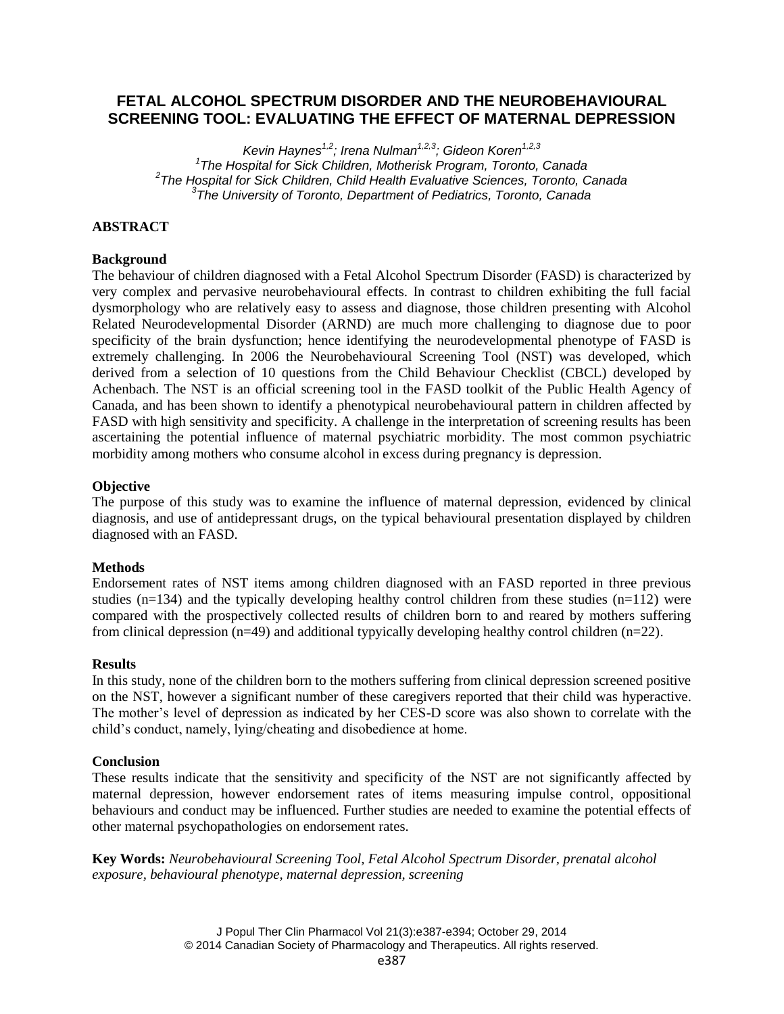# **FETAL ALCOHOL SPECTRUM DISORDER AND THE NEUROBEHAVIOURAL SCREENING TOOL: EVALUATING THE EFFECT OF MATERNAL DEPRESSION**

*Kevin Haynes1,2; Irena Nulman1,2,3; Gideon Koren1,2,3 The Hospital for Sick Children, Motherisk Program, Toronto, Canada The Hospital for Sick Children, Child Health Evaluative Sciences, Toronto, Canada The University of Toronto, Department of Pediatrics, Toronto, Canada*

## **ABSTRACT**

## **Background**

The behaviour of children diagnosed with a Fetal Alcohol Spectrum Disorder (FASD) is characterized by very complex and pervasive neurobehavioural effects. In contrast to children exhibiting the full facial dysmorphology who are relatively easy to assess and diagnose, those children presenting with Alcohol Related Neurodevelopmental Disorder (ARND) are much more challenging to diagnose due to poor specificity of the brain dysfunction; hence identifying the neurodevelopmental phenotype of FASD is extremely challenging. In 2006 the Neurobehavioural Screening Tool (NST) was developed, which derived from a selection of 10 questions from the Child Behaviour Checklist (CBCL) developed by Achenbach. The NST is an official screening tool in the FASD toolkit of the Public Health Agency of Canada, and has been shown to identify a phenotypical neurobehavioural pattern in children affected by FASD with high sensitivity and specificity. A challenge in the interpretation of screening results has been ascertaining the potential influence of maternal psychiatric morbidity. The most common psychiatric morbidity among mothers who consume alcohol in excess during pregnancy is depression.

## **Objective**

The purpose of this study was to examine the influence of maternal depression, evidenced by clinical diagnosis, and use of antidepressant drugs, on the typical behavioural presentation displayed by children diagnosed with an FASD.

#### **Methods**

Endorsement rates of NST items among children diagnosed with an FASD reported in three previous studies ( $n=134$ ) and the typically developing healthy control children from these studies ( $n=112$ ) were compared with the prospectively collected results of children born to and reared by mothers suffering from clinical depression ( $n=49$ ) and additional typyically developing healthy control children ( $n=22$ ).

### **Results**

In this study, none of the children born to the mothers suffering from clinical depression screened positive on the NST, however a significant number of these caregivers reported that their child was hyperactive. The mother's level of depression as indicated by her CES-D score was also shown to correlate with the child's conduct, namely, lying/cheating and disobedience at home.

### **Conclusion**

These results indicate that the sensitivity and specificity of the NST are not significantly affected by maternal depression, however endorsement rates of items measuring impulse control, oppositional behaviours and conduct may be influenced. Further studies are needed to examine the potential effects of other maternal psychopathologies on endorsement rates.

**Key Words:** *Neurobehavioural Screening Tool, Fetal Alcohol Spectrum Disorder, prenatal alcohol exposure, behavioural phenotype, maternal depression, screening*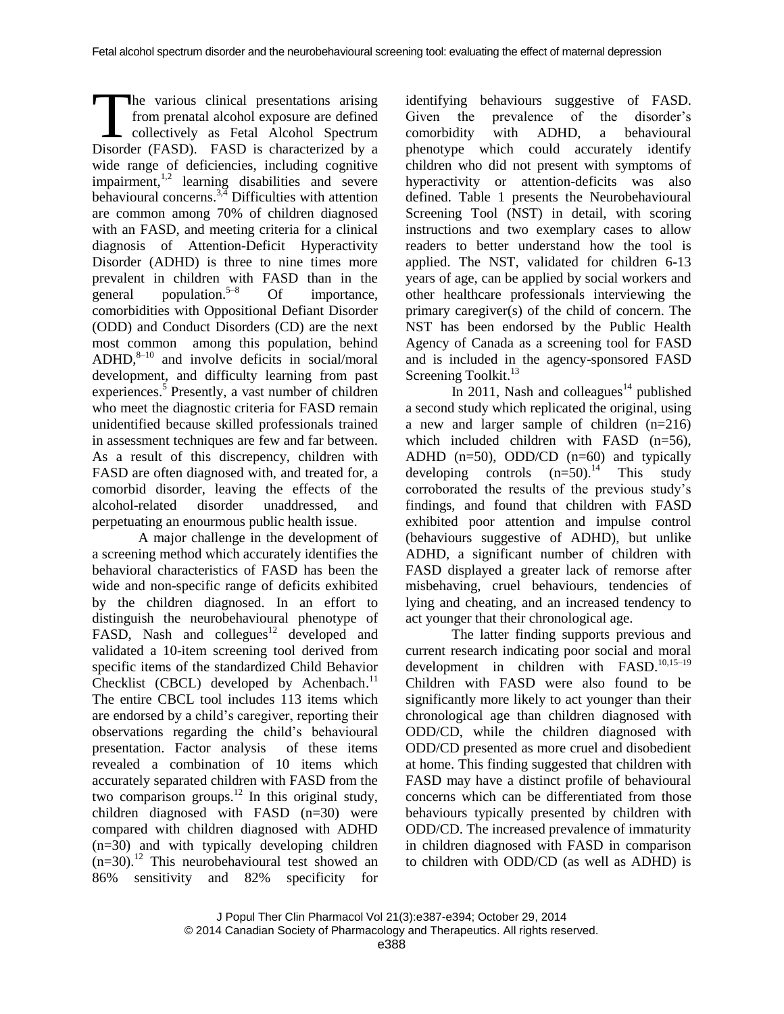he various clinical presentations arising from prenatal alcohol exposure are defined collectively as Fetal Alcohol Spectrum The various clinical presentations arising<br>from prenatal alcohol exposure are defined<br>collectively as Fetal Alcohol Spectrum<br>Disorder (FASD). FASD is characterized by a wide range of deficiencies, including cognitive impairment,<sup>1,2</sup> learning disabilities and severe behavioural concerns.<sup>3,4</sup> Difficulties with attention are common among 70% of children diagnosed with an FASD, and meeting criteria for a clinical diagnosis of Attention-Deficit Hyperactivity Disorder (ADHD) is three to nine times more prevalent in children with FASD than in the general population. $5-8$ Of importance, comorbidities with Oppositional Defiant Disorder (ODD) and Conduct Disorders (CD) are the next most common among this population, behind ADHD,<sup>8-10</sup> and involve deficits in social/moral development, and difficulty learning from past experiences. 5 Presently, a vast number of children who meet the diagnostic criteria for FASD remain unidentified because skilled professionals trained in assessment techniques are few and far between. As a result of this discrepency, children with FASD are often diagnosed with, and treated for, a comorbid disorder, leaving the effects of the alcohol-related disorder unaddressed, and perpetuating an enourmous public health issue.

A major challenge in the development of a screening method which accurately identifies the behavioral characteristics of FASD has been the wide and non-specific range of deficits exhibited by the children diagnosed. In an effort to distinguish the neurobehavioural phenotype of FASD, Nash and collegues $12$  developed and validated a 10-item screening tool derived from specific items of the standardized Child Behavior Checklist (CBCL) developed by Achenbach.<sup>11</sup> The entire CBCL tool includes 113 items which are endorsed by a child's caregiver, reporting their observations regarding the child's behavioural presentation. Factor analysis of these items revealed a combination of 10 items which accurately separated children with FASD from the two comparison groups. <sup>12</sup> In this original study, children diagnosed with FASD (n=30) were compared with children diagnosed with ADHD (n=30) and with typically developing children (n=30). <sup>12</sup> This neurobehavioural test showed an 86% sensitivity and 82% specificity for

identifying behaviours suggestive of FASD. Given the prevalence of the disorder's comorbidity with ADHD, a behavioural phenotype which could accurately identify children who did not present with symptoms of hyperactivity or attention-deficits was also defined. Table 1 presents the Neurobehavioural Screening Tool (NST) in detail, with scoring instructions and two exemplary cases to allow readers to better understand how the tool is applied. The NST, validated for children 6-13 years of age, can be applied by social workers and other healthcare professionals interviewing the primary caregiver(s) of the child of concern. The NST has been endorsed by the Public Health Agency of Canada as a screening tool for FASD and is included in the agency-sponsored FASD Screening Toolkit.<sup>13</sup>

In 2011, Nash and colleagues<sup>14</sup> published a second study which replicated the original, using a new and larger sample of children (n=216) which included children with FASD (n=56), ADHD  $(n=50)$ , ODD/CD  $(n=60)$  and typically developing controls  $(n=50)^{14}$  This study corroborated the results of the previous study's findings, and found that children with FASD exhibited poor attention and impulse control (behaviours suggestive of ADHD), but unlike ADHD, a significant number of children with FASD displayed a greater lack of remorse after misbehaving, cruel behaviours, tendencies of lying and cheating, and an increased tendency to act younger that their chronological age.

The latter finding supports previous and current research indicating poor social and moral development in children with FASD.<sup>10,15-19</sup> Children with FASD were also found to be significantly more likely to act younger than their chronological age than children diagnosed with ODD/CD, while the children diagnosed with ODD/CD presented as more cruel and disobedient at home. This finding suggested that children with FASD may have a distinct profile of behavioural concerns which can be differentiated from those behaviours typically presented by children with ODD/CD. The increased prevalence of immaturity in children diagnosed with FASD in comparison to children with ODD/CD (as well as ADHD) is

J Popul Ther Clin Pharmacol Vol 21(3):e387-e394; October 29, 2014 © 2014 Canadian Society of Pharmacology and Therapeutics. All rights reserved.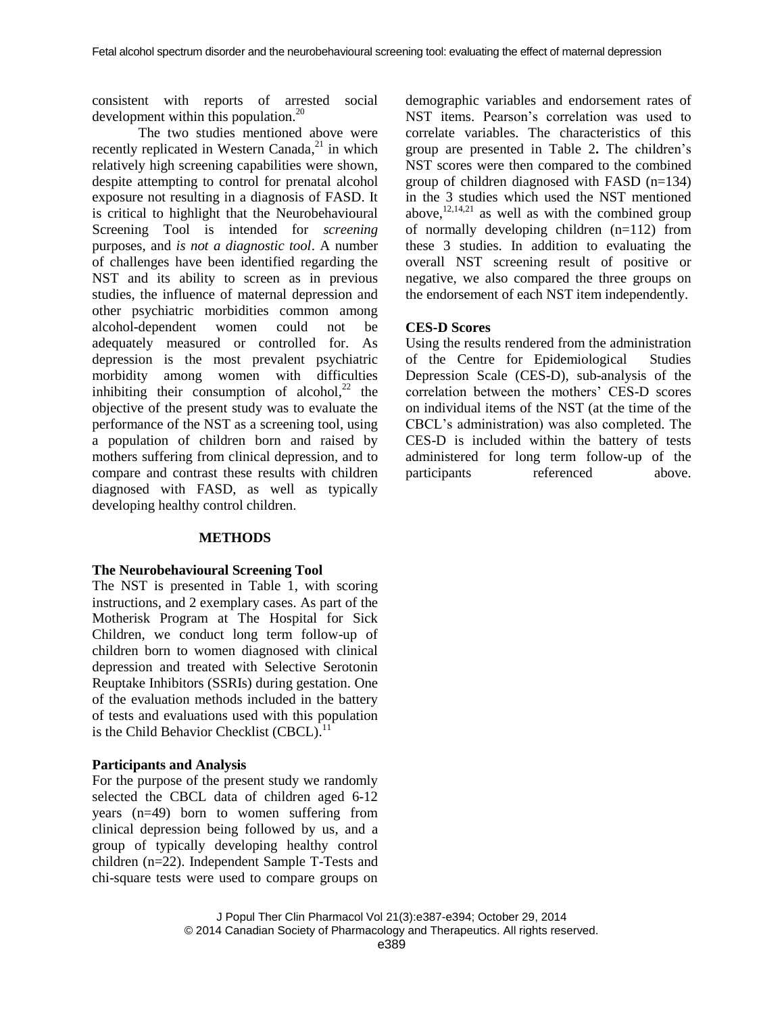consistent with reports of arrested social development within this population.<sup>20</sup>

The two studies mentioned above were recently replicated in Western Canada,<sup>21</sup> in which relatively high screening capabilities were shown, despite attempting to control for prenatal alcohol exposure not resulting in a diagnosis of FASD. It is critical to highlight that the Neurobehavioural Screening Tool is intended for *screening* purposes, and *is not a diagnostic tool*. A number of challenges have been identified regarding the NST and its ability to screen as in previous studies, the influence of maternal depression and other psychiatric morbidities common among alcohol-dependent women could not be adequately measured or controlled for. As depression is the most prevalent psychiatric morbidity among women with difficulties inhibiting their consumption of alcohol, $^{22}$  the objective of the present study was to evaluate the performance of the NST as a screening tool, using a population of children born and raised by mothers suffering from clinical depression, and to compare and contrast these results with children diagnosed with FASD, as well as typically developing healthy control children.

#### **METHODS**

#### **The Neurobehavioural Screening Tool**

The NST is presented in Table 1, with scoring instructions, and 2 exemplary cases. As part of the Motherisk Program at The Hospital for Sick Children, we conduct long term follow-up of children born to women diagnosed with clinical depression and treated with Selective Serotonin Reuptake Inhibitors (SSRIs) during gestation. One of the evaluation methods included in the battery of tests and evaluations used with this population is the Child Behavior Checklist (CBCL).<sup>11</sup>

#### **Participants and Analysis**

For the purpose of the present study we randomly selected the CBCL data of children aged 6-12 years (n=49) born to women suffering from clinical depression being followed by us, and a group of typically developing healthy control children (n=22). Independent Sample T-Tests and chi-square tests were used to compare groups on demographic variables and endorsement rates of NST items. Pearson's correlation was used to correlate variables. The characteristics of this group are presented in Table 2**.** The children's NST scores were then compared to the combined group of children diagnosed with FASD (n=134) in the 3 studies which used the NST mentioned above,  $12,14,21$  as well as with the combined group of normally developing children (n=112) from these 3 studies. In addition to evaluating the overall NST screening result of positive or negative, we also compared the three groups on the endorsement of each NST item independently.

#### **CES-D Scores**

Using the results rendered from the administration of the Centre for Epidemiological Studies Depression Scale (CES-D), sub-analysis of the correlation between the mothers' CES-D scores on individual items of the NST (at the time of the CBCL's administration) was also completed. The CES-D is included within the battery of tests administered for long term follow-up of the participants referenced above.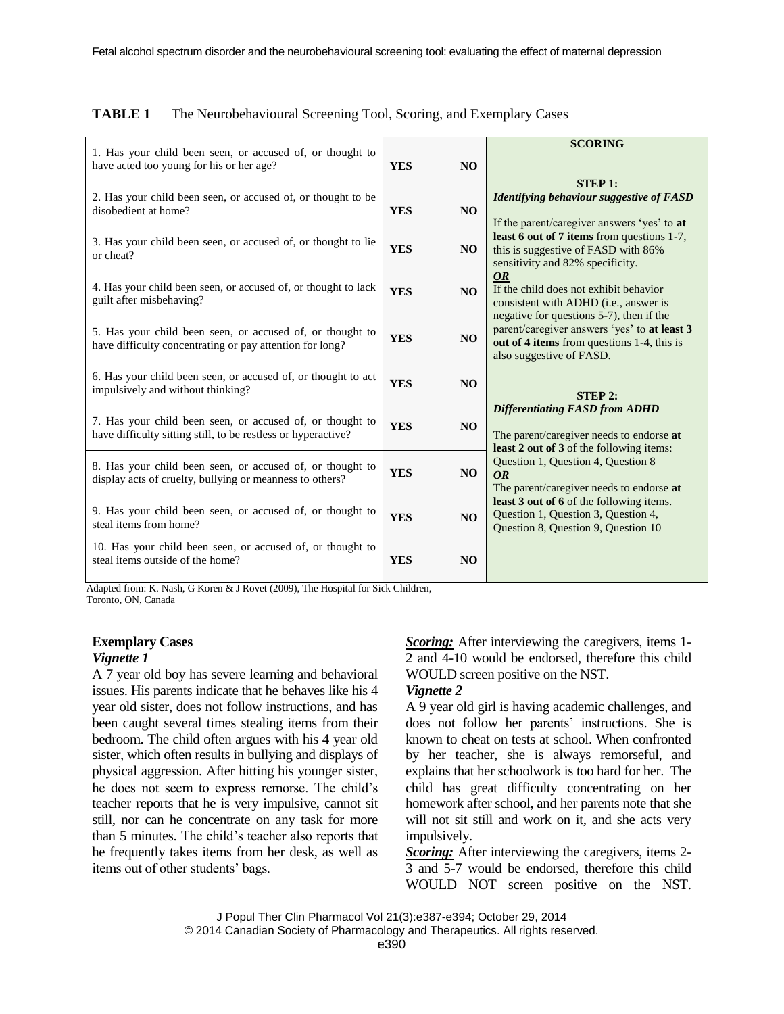|                                                                                                                            |            |                | <b>SCORING</b>                                                                                                                                                       |  |  |  |  |
|----------------------------------------------------------------------------------------------------------------------------|------------|----------------|----------------------------------------------------------------------------------------------------------------------------------------------------------------------|--|--|--|--|
| 1. Has your child been seen, or accused of, or thought to<br>have acted too young for his or her age?                      | <b>YES</b> | <b>NO</b>      |                                                                                                                                                                      |  |  |  |  |
| 2. Has your child been seen, or accused of, or thought to be<br>disobedient at home?                                       | <b>YES</b> | N <sub>O</sub> | <b>STEP 1:</b><br><b>Identifying behaviour suggestive of FASD</b>                                                                                                    |  |  |  |  |
| 3. Has your child been seen, or accused of, or thought to lie<br>or cheat?                                                 | <b>YES</b> | N <sub>O</sub> | If the parent/caregiver answers 'yes' to at<br>least 6 out of 7 items from questions 1-7,<br>this is suggestive of FASD with 86%<br>sensitivity and 82% specificity. |  |  |  |  |
| 4. Has your child been seen, or accused of, or thought to lack<br>guilt after misbehaving?                                 | <b>YES</b> | <b>NO</b>      | <b>OR</b><br>If the child does not exhibit behavior<br>consistent with ADHD (i.e., answer is                                                                         |  |  |  |  |
| 5. Has your child been seen, or accused of, or thought to<br>have difficulty concentrating or pay attention for long?      | <b>YES</b> | N <sub>O</sub> | negative for questions 5-7), then if the<br>parent/caregiver answers 'yes' to at least 3<br>out of 4 items from questions 1-4, this is<br>also suggestive of FASD.   |  |  |  |  |
| 6. Has your child been seen, or accused of, or thought to act<br>impulsively and without thinking?                         | <b>YES</b> | <b>NO</b>      | <b>STEP 2:</b>                                                                                                                                                       |  |  |  |  |
| 7. Has your child been seen, or accused of, or thought to<br>have difficulty sitting still, to be restless or hyperactive? | <b>YES</b> | <b>NO</b>      | <b>Differentiating FASD from ADHD</b><br>The parent/caregiver needs to endorse at<br>least 2 out of 3 of the following items:                                        |  |  |  |  |
| 8. Has your child been seen, or accused of, or thought to<br>display acts of cruelty, bullying or meanness to others?      | <b>YES</b> | <b>NO</b>      | Question 1, Question 4, Question 8<br><b>OR</b><br>The parent/caregiver needs to endorse at                                                                          |  |  |  |  |
| 9. Has your child been seen, or accused of, or thought to<br>steal items from home?                                        |            | N <sub>O</sub> | least 3 out of 6 of the following items.<br>Question 1, Question 3, Question 4,<br>Question 8, Question 9, Question 10                                               |  |  |  |  |
| 10. Has your child been seen, or accused of, or thought to<br>steal items outside of the home?                             | <b>YES</b> | N <sub>O</sub> |                                                                                                                                                                      |  |  |  |  |

#### **TABLE 1** The Neurobehavioural Screening Tool, Scoring, and Exemplary Cases

Adapted from: K. Nash, G Koren & J Rovet (2009), The Hospital for Sick Children, Toronto, ON, Canada

# **Exemplary Cases**

# *Vignette 1*

A 7 year old boy has severe learning and behavioral issues. His parents indicate that he behaves like his 4 year old sister, does not follow instructions, and has been caught several times stealing items from their bedroom. The child often argues with his 4 year old sister, which often results in bullying and displays of physical aggression. After hitting his younger sister, he does not seem to express remorse. The child's teacher reports that he is very impulsive, cannot sit still, nor can he concentrate on any task for more than 5 minutes. The child's teacher also reports that he frequently takes items from her desk, as well as items out of other students' bags.

*Scoring:* After interviewing the caregivers, items 1- 2 and 4-10 would be endorsed, therefore this child WOULD screen positive on the NST.

## *Vignette 2*

A 9 year old girl is having academic challenges, and does not follow her parents' instructions. She is known to cheat on tests at school. When confronted by her teacher, she is always remorseful, and explains that her schoolwork is too hard for her. The child has great difficulty concentrating on her homework after school, and her parents note that she will not sit still and work on it, and she acts very impulsively.

*Scoring:* After interviewing the caregivers, items 2-3 and 5-7 would be endorsed, therefore this child WOULD NOT screen positive on the NST.

J Popul Ther Clin Pharmacol Vol 21(3):e387-e394; October 29, 2014

© 2014 Canadian Society of Pharmacology and Therapeutics. All rights reserved.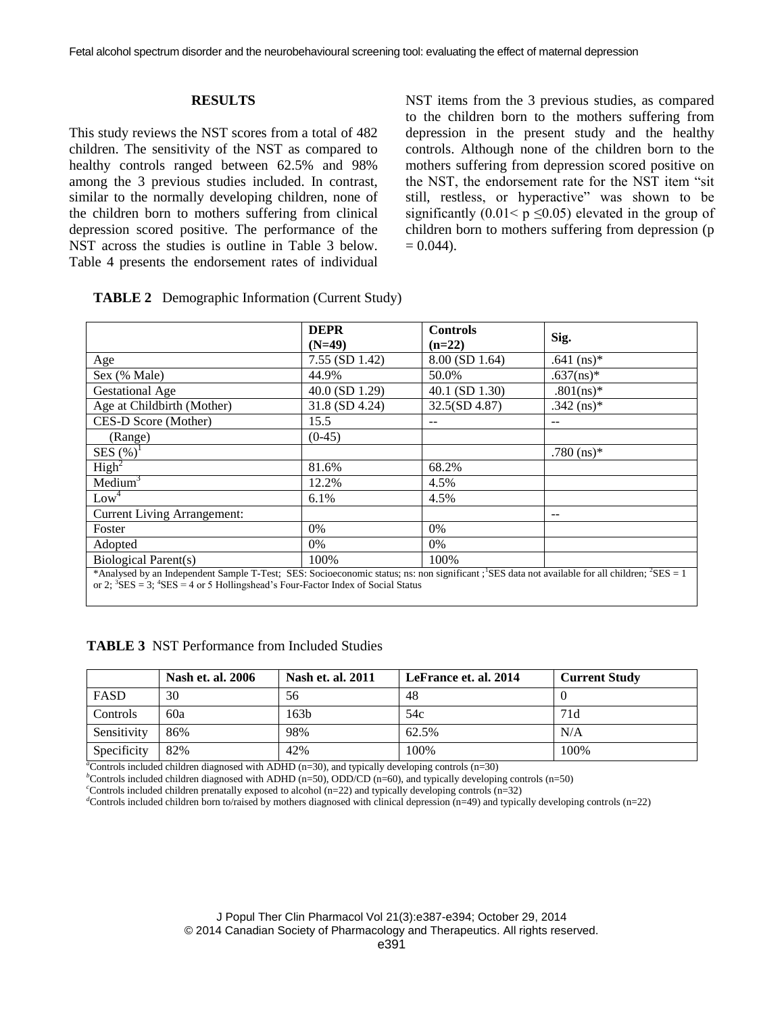#### **RESULTS**

This study reviews the NST scores from a total of 482 children. The sensitivity of the NST as compared to healthy controls ranged between 62.5% and 98% among the 3 previous studies included. In contrast, similar to the normally developing children, none of the children born to mothers suffering from clinical depression scored positive. The performance of the NST across the studies is outline in Table 3 below. Table 4 presents the endorsement rates of individual

NST items from the 3 previous studies, as compared to the children born to the mothers suffering from depression in the present study and the healthy controls. Although none of the children born to the mothers suffering from depression scored positive on the NST, the endorsement rate for the NST item "sit still, restless, or hyperactive" was shown to be significantly (0.01<  $p \le 0.05$ ) elevated in the group of children born to mothers suffering from depression (p  $= 0.044$ ).

|                                                                                                                                                                                                                                                         | <b>DEPR</b><br>$(N=49)$ | <b>Controls</b><br>$(n=22)$ | Sig.         |
|---------------------------------------------------------------------------------------------------------------------------------------------------------------------------------------------------------------------------------------------------------|-------------------------|-----------------------------|--------------|
| Age                                                                                                                                                                                                                                                     | $7.55$ (SD 1.42)        | 8.00 (SD 1.64)              | $.641$ (ns)* |
| Sex (% Male)                                                                                                                                                                                                                                            | 44.9%                   | 50.0%                       | $.637(ns)*$  |
| <b>Gestational Age</b>                                                                                                                                                                                                                                  | 40.0 (SD 1.29)          | 40.1 (SD 1.30)              | $.801(ns)*$  |
| Age at Childbirth (Mother)                                                                                                                                                                                                                              | 31.8 (SD 4.24)          | 32.5(SD 4.87)               | .342 $(ns)*$ |
| CES-D Score (Mother)                                                                                                                                                                                                                                    | 15.5                    |                             |              |
| (Range)                                                                                                                                                                                                                                                 | $(0-45)$                |                             |              |
| SES $(\%)^1$                                                                                                                                                                                                                                            |                         |                             | $.780$ (ns)* |
| High <sup>2</sup>                                                                                                                                                                                                                                       | 81.6%                   | 68.2%                       |              |
| $Median^3$                                                                                                                                                                                                                                              | 12.2%                   | 4.5%                        |              |
| Low <sup>4</sup>                                                                                                                                                                                                                                        | 6.1%                    | 4.5%                        |              |
| <b>Current Living Arrangement:</b>                                                                                                                                                                                                                      |                         |                             | $- -$        |
| Foster                                                                                                                                                                                                                                                  | $0\%$                   | $0\%$                       |              |
| Adopted                                                                                                                                                                                                                                                 | $0\%$                   | $0\%$                       |              |
| Biological Parent(s)                                                                                                                                                                                                                                    | 100%                    | 100\%                       |              |
| *Analysed by an Independent Sample T-Test; SES: Socioeconomic status; ns: non significant; SES data not available for all children; ${}^{2}$ SES = 1<br>or 2; ${}^{3}$ SES = 3; ${}^{4}$ SES = 4 or 5 Hollingshead's Four-Factor Index of Social Status |                         |                             |              |

|  | <b>TABLE 2</b> Demographic Information (Current Study) |  |  |  |
|--|--------------------------------------------------------|--|--|--|
|--|--------------------------------------------------------|--|--|--|

|  | <b>TABLE 3</b> NST Performance from Included Studies |  |  |  |
|--|------------------------------------------------------|--|--|--|
|--|------------------------------------------------------|--|--|--|

|             | Nash et. al. 2006 | Nash et. al. 2011 | LeFrance et. al. 2014 | <b>Current Study</b> |
|-------------|-------------------|-------------------|-----------------------|----------------------|
| FASD        | 30                | 56                | 48                    |                      |
| Controls    | 60a               | 163 <sub>b</sub>  | 54c                   | 71d                  |
| Sensitivity | 86%               | 98%               | 62.5%                 | N/A                  |
| Specificity | 82%               | 42%               | 100%                  | 100%                 |

 $a^2$ Controls included children diagnosed with ADHD (n=30), and typically developing controls (n=30)

*<sup>b</sup>*Controls included children diagnosed with ADHD (n=50), ODD/CD (n=60), and typically developing controls (n=50)

*<sup>c</sup>*Controls included children prenatally exposed to alcohol (n=22) and typically developing controls (n=32)

*<sup>d</sup>*Controls included children born to/raised by mothers diagnosed with clinical depression (n=49) and typically developing controls (n=22)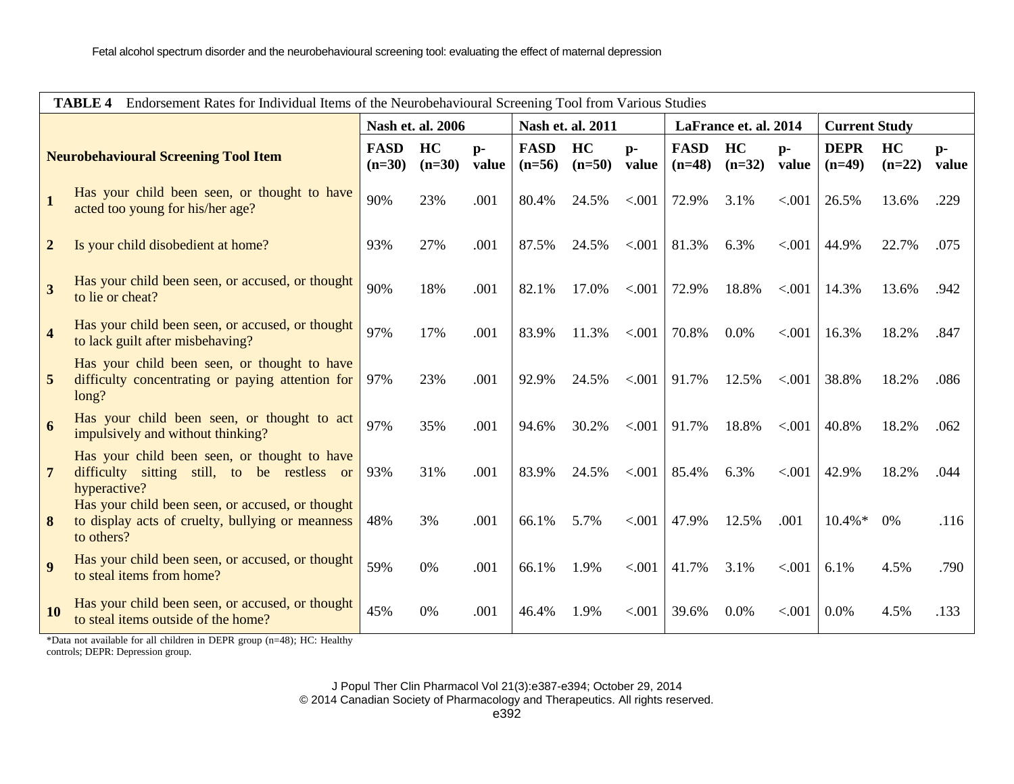| <b>TABLE 4</b><br>Endorsement Rates for Individual Items of the Neurobehavioural Screening Tool from Various Studies |                                                                                                                    |                         |                |                   |                         |                       |               |                         |                      |             |                         |                |               |
|----------------------------------------------------------------------------------------------------------------------|--------------------------------------------------------------------------------------------------------------------|-------------------------|----------------|-------------------|-------------------------|-----------------------|---------------|-------------------------|----------------------|-------------|-------------------------|----------------|---------------|
|                                                                                                                      |                                                                                                                    | Nash et. al. 2006       |                | Nash et. al. 2011 |                         | LaFrance et. al. 2014 |               |                         | <b>Current Study</b> |             |                         |                |               |
| <b>Neurobehavioural Screening Tool Item</b>                                                                          |                                                                                                                    | <b>FASD</b><br>$(n=30)$ | HC<br>$(n=30)$ | $p-$<br>value     | <b>FASD</b><br>$(n=56)$ | HC<br>$(n=50)$        | $p-$<br>value | <b>FASD</b><br>$(n=48)$ | HC<br>$(n=32)$       | p-<br>value | <b>DEPR</b><br>$(n=49)$ | HC<br>$(n=22)$ | $p-$<br>value |
|                                                                                                                      | Has your child been seen, or thought to have<br>acted too young for his/her age?                                   | 90%                     | 23%            | .001              | 80.4%                   | 24.5%                 | < .001        | 72.9%                   | 3.1%                 | < 0.001     | 26.5%                   | 13.6%          | .229          |
| $\overline{2}$                                                                                                       | Is your child disobedient at home?                                                                                 | 93%                     | 27%            | .001              | 87.5%                   | 24.5%                 | < .001        | 81.3%                   | 6.3%                 | < .001      | 44.9%                   | 22.7%          | .075          |
| $\overline{3}$                                                                                                       | Has your child been seen, or accused, or thought<br>to lie or cheat?                                               | 90%                     | 18%            | .001              | 82.1%                   | 17.0%                 | < .001        | 72.9%                   | 18.8%                | < 0.001     | 14.3%                   | 13.6%          | .942          |
| $\overline{4}$                                                                                                       | Has your child been seen, or accused, or thought<br>to lack guilt after misbehaving?                               | 97%                     | 17%            | .001              | 83.9%                   | 11.3%                 | < .001        | 70.8%                   | $0.0\%$              | < .001      | 16.3%                   | 18.2%          | .847          |
| $\overline{5}$                                                                                                       | Has your child been seen, or thought to have<br>difficulty concentrating or paying attention for<br>long?          | 97%                     | 23%            | .001              | 92.9%                   | 24.5%                 | < 0.001       | 91.7%                   | 12.5%                | < .001      | 38.8%                   | 18.2%          | .086          |
| $\overline{6}$                                                                                                       | Has your child been seen, or thought to act<br>impulsively and without thinking?                                   | 97%                     | 35%            | .001              | 94.6%                   | 30.2%                 | < .001        | 91.7%                   | 18.8%                | < .001      | 40.8%                   | 18.2%          | .062          |
| $7\phantom{.0}$                                                                                                      | Has your child been seen, or thought to have<br>difficulty sitting still, to be restless or<br>hyperactive?        | 93%                     | 31%            | .001              | 83.9%                   | 24.5%                 | < .001        | 85.4%                   | 6.3%                 | < .001      | 42.9%                   | 18.2%          | .044          |
| 8                                                                                                                    | Has your child been seen, or accused, or thought<br>to display acts of cruelty, bullying or meanness<br>to others? | 48%                     | 3%             | .001              | 66.1%                   | 5.7%                  | < .001        | 47.9%                   | 12.5%                | .001        | $10.4\% *$              | 0%             | .116          |
| $\overline{\mathbf{q}}$                                                                                              | Has your child been seen, or accused, or thought<br>to steal items from home?                                      | 59%                     | 0%             | .001              | 66.1%                   | 1.9%                  | < .001        | 41.7%                   | 3.1%                 | < .001      | 6.1%                    | 4.5%           | .790          |
| <b>10</b>                                                                                                            | Has your child been seen, or accused, or thought<br>to steal items outside of the home?                            | 45%                     | 0%             | .001              | 46.4%                   | 1.9%                  | < .001        | 39.6%                   | 0.0%                 | < 0.001     | 0.0%                    | 4.5%           | .133          |

\*Data not available for all children in DEPR group (n=48); HC: Healthy controls; DEPR: Depression group.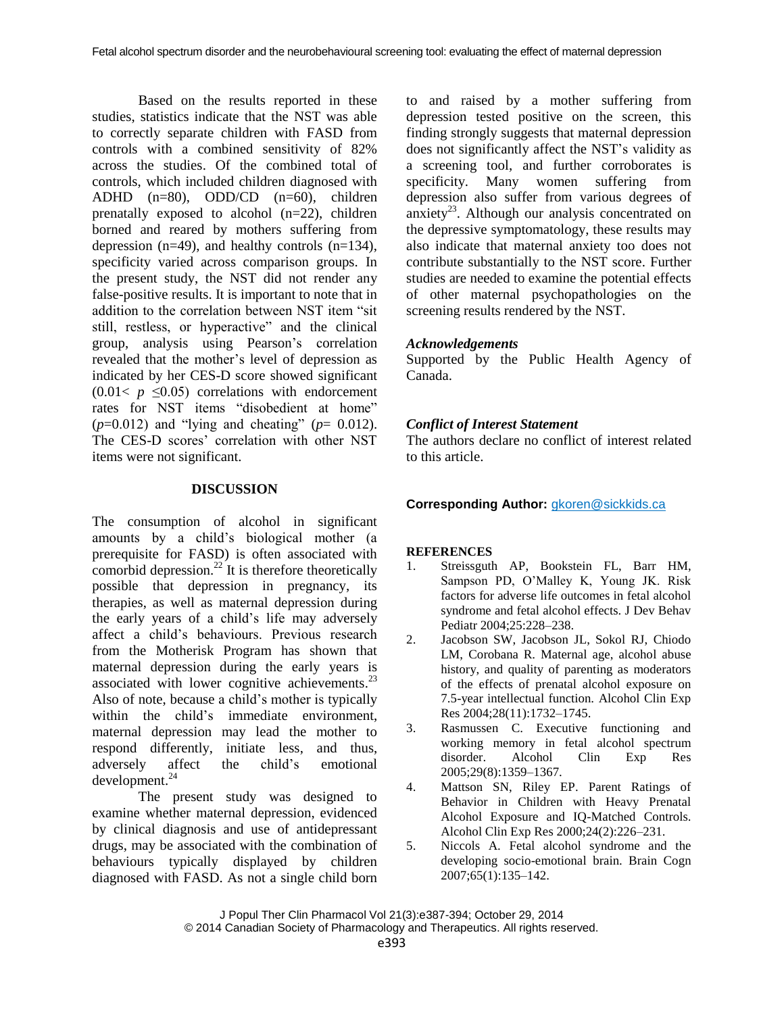Based on the results reported in these studies, statistics indicate that the NST was able to correctly separate children with FASD from controls with a combined sensitivity of 82% across the studies. Of the combined total of controls, which included children diagnosed with ADHD (n=80), ODD/CD (n=60), children prenatally exposed to alcohol (n=22), children borned and reared by mothers suffering from depression ( $n=49$ ), and healthy controls ( $n=134$ ), specificity varied across comparison groups. In the present study, the NST did not render any false-positive results. It is important to note that in addition to the correlation between NST item "sit still, restless, or hyperactive" and the clinical group, analysis using Pearson's correlation revealed that the mother's level of depression as indicated by her CES-D score showed significant  $(0.01 \lt p \leq 0.05)$  correlations with endorcement rates for NST items "disobedient at home"  $(p=0.012)$  and "lying and cheating" ( $p=0.012$ ). The CES-D scores' correlation with other NST items were not significant.

## **DISCUSSION**

The consumption of alcohol in significant amounts by a child's biological mother (a prerequisite for FASD) is often associated with comorbid depression. $^{22}$  It is therefore theoretically possible that depression in pregnancy, its therapies, as well as maternal depression during the early years of a child's life may adversely affect a child's behaviours. Previous research from the Motherisk Program has shown that maternal depression during the early years is associated with lower cognitive achievements.<sup>23</sup> Also of note, because a child's mother is typically within the child's immediate environment, maternal depression may lead the mother to respond differently, initiate less, and thus, adversely affect the child's emotional development. 24

The present study was designed to examine whether maternal depression, evidenced by clinical diagnosis and use of antidepressant drugs, may be associated with the combination of behaviours typically displayed by children diagnosed with FASD. As not a single child born

to and raised by a mother suffering from depression tested positive on the screen, this finding strongly suggests that maternal depression does not significantly affect the NST's validity as a screening tool, and further corroborates is specificity. Many women suffering from depression also suffer from various degrees of anxiety<sup>23</sup>. Although our analysis concentrated on the depressive symptomatology, these results may also indicate that maternal anxiety too does not contribute substantially to the NST score. Further studies are needed to examine the potential effects of other maternal psychopathologies on the screening results rendered by the NST.

## *Acknowledgements*

Supported by the Public Health Agency of Canada.

# *Conflict of Interest Statement*

The authors declare no conflict of interest related to this article.

## **Corresponding Author:** [gkoren@sickkids.ca](mailto:gkoren@sickkids.ca)

## **REFERENCES**

- 1. Streissguth AP, Bookstein FL, Barr HM, Sampson PD, O'Malley K, Young JK. Risk factors for adverse life outcomes in fetal alcohol syndrome and fetal alcohol effects. J Dev Behav Pediatr 2004;25:228–238.
- 2. Jacobson SW, Jacobson JL, Sokol RJ, Chiodo LM, Corobana R. Maternal age, alcohol abuse history, and quality of parenting as moderators of the effects of prenatal alcohol exposure on 7.5-year intellectual function. Alcohol Clin Exp Res 2004;28(11):1732–1745.
- 3. Rasmussen C. Executive functioning and working memory in fetal alcohol spectrum disorder. Alcohol Clin Exp Res 2005;29(8):1359–1367.
- 4. Mattson SN, Riley EP. Parent Ratings of Behavior in Children with Heavy Prenatal Alcohol Exposure and IQ-Matched Controls. Alcohol Clin Exp Res 2000;24(2):226–231.
- 5. Niccols A. Fetal alcohol syndrome and the developing socio-emotional brain. Brain Cogn 2007;65(1):135–142.

J Popul Ther Clin Pharmacol Vol 21(3):e387-394; October 29, 2014 © 2014 Canadian Society of Pharmacology and Therapeutics. All rights reserved.